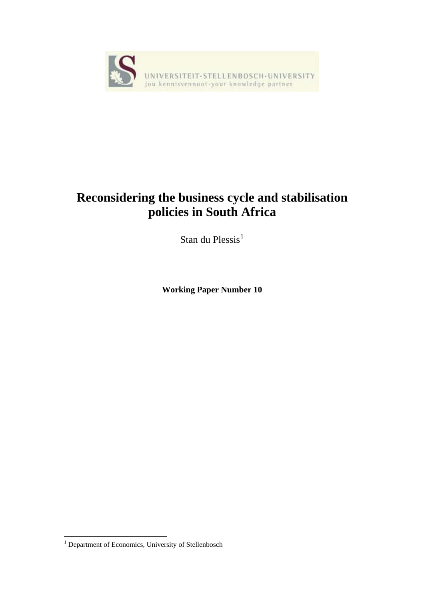

# **Reconsidering the business cycle and stabilisation policies in South Africa**

Stan du Plessis $<sup>1</sup>$  $<sup>1</sup>$  $<sup>1</sup>$ </sup>

**Working Paper Number 10** 

<span id="page-0-0"></span> 1 Department of Economics, University of Stellenbosch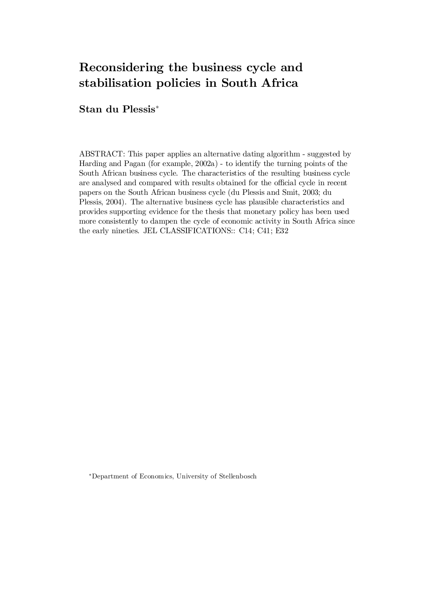# Reconsidering the business cycle and stabilisation policies in South Africa

### ${\bf Stan}$  du  ${\bf Plessis}^*$

ABSTRACT: This paper applies an alternative dating algorithm - suggested by Harding and Pagan (for example, 2002a) - to identify the turning points of the South African business cycle. The characteristics of the resulting business cycle are analysed and compared with results obtained for the official cycle in recent papers on the South African business cycle (du Plessis and Smit, 2003; du Plessis, 2004). The alternative business cycle has plausible characteristics and provides supporting evidence for the thesis that monetary policy has been used more consistently to dampen the cycle of economic activity in South Africa since the early nineties. JEL CLASSIFICATIONS:: C14; C41; E32

¤Department of Economics, University of Stellenbosch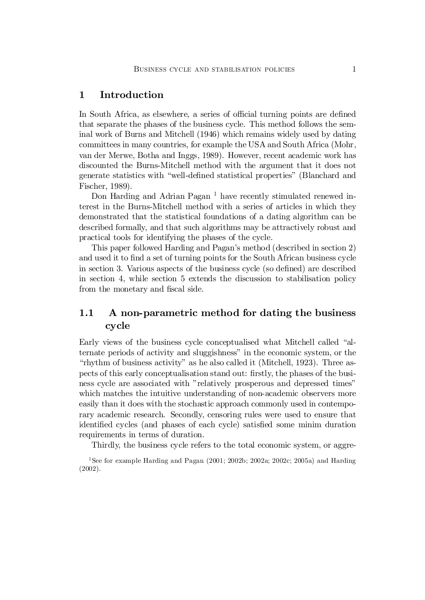#### 1 Introduction

In South Africa, as elsewhere, a series of official turning points are defined that separate the phases of the business cycle. This method follows the seminal work of Burns and Mitchell (1946) which remains widely used by dating committees in many countries, for example the USA and South Africa (Mohr, van der Merwe, Botha and Inggs, 1989). However, recent academic work has discounted the Burns-Mitchell method with the argument that it does not generate statistics with "well-defined statistical properties" (Blanchard and Fischer, 1989).

Don Harding and Adrian Pagan<sup>1</sup> have recently stimulated renewed interest in the Burns-Mitchell method with a series of articles in which they demonstrated that the statistical foundations of a dating algorithm can be described formally, and that such algorithms may be attractively robust and practical tools for identifying the phases of the cycle.

This paper followed Harding and Pagan's method (described in section 2) and used it to find a set of turning points for the South African business cycle in section 3. Various aspects of the business cycle (so defined) are described in section 4, while section 5 extends the discussion to stabilisation policy from the monetary and fiscal side.

### 1.1 A non-parametric method for dating the business cycle

Early views of the business cycle conceptualised what Mitchell called "alternate periods of activity and sluggishness" in the economic system, or the "rhythm of business activity" as he also called it (Mitchell, 1923). Three aspects of this early conceptualisation stand out: firstly, the phases of the business cycle are associated with "relatively prosperous and depressed times" which matches the intuitive understanding of non-academic observers more easily than it does with the stochastic approach commonly used in contemporary academic research. Secondly, censoring rules were used to ensure that identified cycles (and phases of each cycle) satisfied some minim duration requirements in terms of duration.

Thirdly, the business cycle refers to the total economic system, or aggre-

<sup>1</sup>See for example Harding and Pagan  $(2001; 2002b; 2002a; 2002c; 2005a)$  and Harding (2002).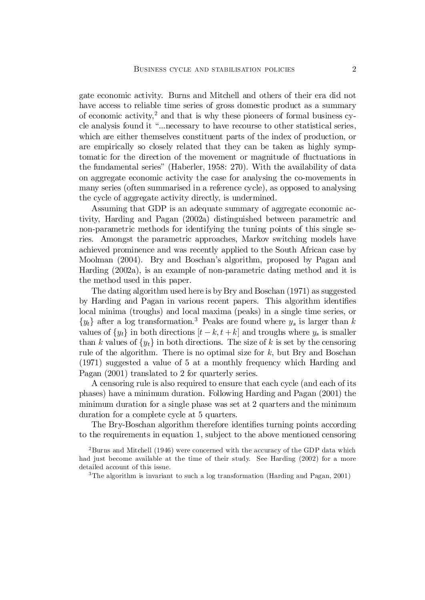gate economic activity. Burns and Mitchell and others of their era did not have access to reliable time series of gross domestic product as a summary of economic activity, <sup>2</sup> and that is why these pioneers of formal business cycle analysis found it "...necessary to have recourse to other statistical series, which are either themselves constituent parts of the index of production, or are empirically so closely related that they can be taken as highly symptomatic for the direction of the movement or magnitude of fluctuations in the fundamental series" (Haberler, 1958: 270). With the availability of data on aggregate economic activity the case for analysing the co-movements in many series (often summarised in a reference cycle), as opposed to analysing the cycle of aggregate activity directly, is undermined.

Assuming that GDP is an adequate summary of aggregate economic activity, Harding and Pagan (2002a) distinguished between parametric and non-parametric methods for identifying the tuning points of this single series. Amongst the parametric approaches, Markov switching models have achieved prominence and was recently applied to the South African case by Moolman (2004). Bry and Boschan's algorithm, proposed by Pagan and Harding (2002a), is an example of non-parametric dating method and it is the method used in this paper.

The dating algorithm used here is by Bry and Boschan (1971) as suggested by Harding and Pagan in various recent papers. This algorithm identifies local minima (troughs) and local maxima (peaks) in a single time series, or  $\{y_t\}$  after a log transformation.<sup>3</sup> Peaks are found where  $y_s$  is larger than k values of  $\{y_t\}$  in both directions  $[t - k, t + k]$  and troughs where  $y_s$  is smaller than k values of  $\{y_t\}$  in both directions. The size of k is set by the censoring rule of the algorithm. There is no optimal size for  $k$ , but Bry and Boschan (1971) suggested a value of 5 at a monthly frequency which Harding and Pagan (2001) translated to 2 for quarterly series.

A censoring rule is also required to ensure that each cycle (and each of its phases) have a minimum duration. Following Harding and Pagan (2001) the minimum duration for a single phase was set at 2 quarters and the minimum duration for a complete cycle at 5 quarters.

The Bry-Boschan algorithm therefore identifies turning points according to the requirements in equation 1, subject to the above mentioned censoring

<sup>2</sup>Burns and Mitchell (1946) were concerned with the accuracy of the GDP data which had just become available at the time of their study. See Harding (2002) for a more detailed account of this issue.

<sup>3</sup>The algorithm is invariant to such a log transformation (Harding and Pagan, 2001)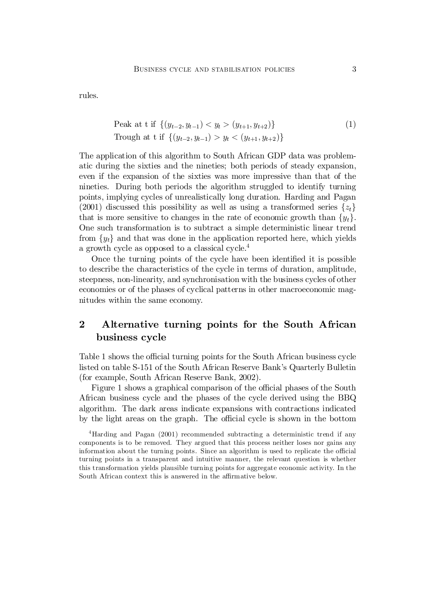rules.

$$
\text{Peak at t if } \left\{ (y_{t-2}, y_{t-1}) < y_t > (y_{t+1}, y_{t+2}) \right\} \tag{1}
$$
\n
$$
\text{Trough at t if } \left\{ (y_{t-2}, y_{t-1}) > y_t < (y_{t+1}, y_{t+2}) \right\}
$$

The application of this algorithm to South African GDP data was problematic during the sixties and the nineties; both periods of steady expansion, even if the expansion of the sixties was more impressive than that of the nineties. During both periods the algorithm struggled to identify turning points, implying cycles of unrealistically long duration. Harding and Pagan (2001) discussed this possibility as well as using a transformed series  $\{z_t\}$ that is more sensitive to changes in the rate of economic growth than  $\{y_t\}$ . One such transformation is to subtract a simple deterministic linear trend from  $\{y_t\}$  and that was done in the application reported here, which yields a growth cycle as opposed to a classical cycle.<sup>4</sup>

Once the turning points of the cycle have been identified it is possible to describe the characteristics of the cycle in terms of duration, amplitude, steepness, non-linearity, and synchronisation with the business cycles of other economies or of the phases of cyclical patterns in other macroeconomic magnitudes within the same economy.

### 2 Alternative turning points for the South African business cycle

Table 1 shows the official turning points for the South African business cycle listed on table S-151 of the South African Reserve Bank's Quarterly Bulletin (for example, South African Reserve Bank, 2002).

Figure 1 shows a graphical comparison of the official phases of the South African business cycle and the phases of the cycle derived using the BBQ algorithm. The dark areas indicate expansions with contractions indicated by the light areas on the graph. The official cycle is shown in the bottom

<sup>4</sup>Harding and Pagan (2001) recommended subtracting a deterministic trend if any components is to be removed. They argued that this process neither loses nor gains any information about the turning points. Since an algorithm is used to replicate the official turning points in a transparent and intuitive manner, the relevant question is whether this transformation yields plausible turning points for aggregate economic activity. In the South African context this is answered in the affirmative below.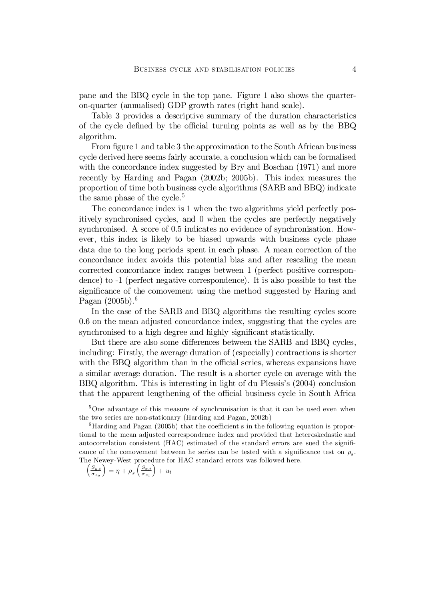pane and the BBQ cycle in the top pane. Figure 1 also shows the quarteron-quarter (annualised) GDP growth rates (right hand scale).

Table 3 provides a descriptive summary of the duration characteristics of the cycle defined by the official turning points as well as by the BBQ algorithm.

From figure 1 and table 3 the approximation to the South African business cycle derived here seems fairly accurate, a conclusion which can be formalised with the concordance index suggested by Bry and Boschan (1971) and more recently by Harding and Pagan (2002b; 2005b). This index measures the proportion of time both business cycle algorithms (SARB and BBQ) indicate the same phase of the cycle.<sup>5</sup>

The concordance index is 1 when the two algorithms yield perfectly positively synchronised cycles, and 0 when the cycles are perfectly negatively synchronised. A score of 0.5 indicates no evidence of synchronisation. However, this index is likely to be biased upwards with business cycle phase data due to the long periods spent in each phase. A mean correction of the concordance index avoids this potential bias and after rescaling the mean corrected concordance index ranges between 1 (perfect positive correspondence) to -1 (perfect negative correspondence). It is also possible to test the significance of the comovement using the method suggested by Haring and Pagan (2005b). 6

In the case of the SARB and BBQ algorithms the resulting cycles score 0.6 on the mean adjusted concordance index, suggesting that the cycles are synchronised to a high degree and highly significant statistically.

But there are also some differences between the SARB and BBQ cycles, including: Firstly, the average duration of (especially) contractions is shorter with the BBQ algorithm than in the official series, whereas expansions have a similar average duration. The result is a shorter cycle on average with the BBQ algorithm. This is interesting in light of du Plessis's (2004) conclusion that the apparent lengthening of the official business cycle in South Africa

<sup>5</sup>One advantage of this measure of synchronisation is that it can be used even when the two series are non-stationary (Harding and Pagan, 2002b)

 $6$ Harding and Pagan (2005b) that the coefficient s in the following equation is proportional to the mean adjusted correspondence index and provided that heteroskedastic and autocorrelation consistent (HAC) estimated of the standard errors are sued the significance of the comovement between he series can be tested with a significance test on  $\rho_s$ . The Newey-West procedure for HAC standard errors was followed here.

$$
\left(\frac{S_{y,t}}{\sigma_{sy}}\right) = \eta + \rho_s \left(\frac{S_{x,t}}{\sigma_{sx}}\right) + u_t
$$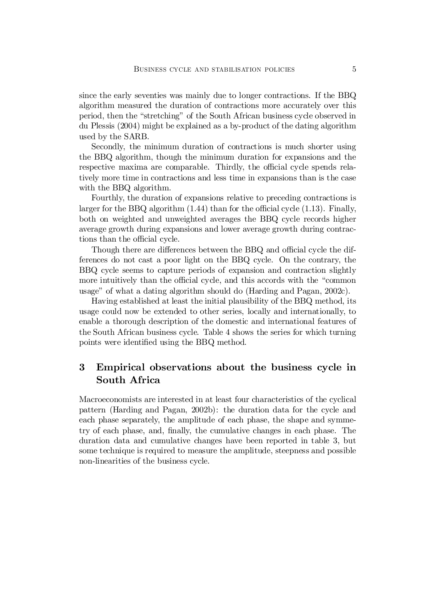since the early seventies was mainly due to longer contractions. If the BBQ algorithm measured the duration of contractions more accurately over this period, then the "stretching" of the South African business cycle observed in du Plessis (2004) might be explained as a by-product of the dating algorithm used by the SARB.

Secondly, the minimum duration of contractions is much shorter using the BBQ algorithm, though the minimum duration for expansions and the respective maxima are comparable. Thirdly, the official cycle spends relatively more time in contractions and less time in expansions than is the case with the BBQ algorithm.

Fourthly, the duration of expansions relative to preceding contractions is larger for the BBQ algorithm  $(1.44)$  than for the official cycle  $(1.13)$ . Finally, both on weighted and unweighted averages the BBQ cycle records higher average growth during expansions and lower average growth during contractions than the official cycle.

Though there are differences between the BBQ and official cycle the differences do not cast a poor light on the BBQ cycle. On the contrary, the BBQ cycle seems to capture periods of expansion and contraction slightly more intuitively than the official cycle, and this accords with the "common usage" of what a dating algorithm should do (Harding and Pagan, 2002c).

Having established at least the initial plausibility of the BBQ method, its usage could now be extended to other series, locally and internationally, to enable a thorough description of the domestic and international features of the South African business cycle. Table 4 shows the series for which turning points were identified using the BBQ method.

### 3 Empirical observations about the business cycle in South Africa

Macroeconomists are interested in at least four characteristics of the cyclical pattern (Harding and Pagan, 2002b): the duration data for the cycle and each phase separately, the amplitude of each phase, the shape and symmetry of each phase, and, finally, the cumulative changes in each phase. The duration data and cumulative changes have been reported in table 3, but some technique is required to measure the amplitude, steepness and possible non-linearities of the business cycle.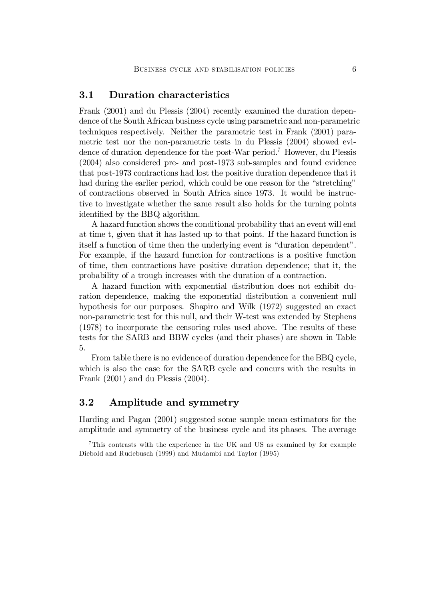#### 3.1 Duration characteristics

Frank (2001) and du Plessis (2004) recently examined the duration dependence of the South African business cycle using parametric and non-parametric techniques respectively. Neither the parametric test in Frank (2001) parametric test nor the non-parametric tests in du Plessis (2004) showed evidence of duration dependence for the post-War period.<sup>7</sup> However, du Plessis (2004) also considered pre- and post-1973 sub-samples and found evidence that post-1973 contractions had lost the positive duration dependence that it had during the earlier period, which could be one reason for the "stretching" of contractions observed in South Africa since 1973. It would be instructive to investigate whether the same result also holds for the turning points identified by the BBQ algorithm.

A hazard function shows the conditional probability that an event will end at time t, given that it has lasted up to that point. If the hazard function is itself a function of time then the underlying event is "duration dependent". For example, if the hazard function for contractions is a positive function of time, then contractions have positive duration dependence; that it, the probability of a trough increases with the duration of a contraction.

A hazard function with exponential distribution does not exhibit duration dependence, making the exponential distribution a convenient null hypothesis for our purposes. Shapiro and Wilk (1972) suggested an exact non-parametric test for this null, and their W-test was extended by Stephens (1978) to incorporate the censoring rules used above. The results of these tests for the SARB and BBW cycles (and their phases) are shown in Table 5.

From table there is no evidence of duration dependence for the BBQ cycle, which is also the case for the SARB cycle and concurs with the results in Frank (2001) and du Plessis (2004).

### 3.2 Amplitude and symmetry

Harding and Pagan (2001) suggested some sample mean estimators for the amplitude and symmetry of the business cycle and its phases. The average

<sup>7</sup>This contrasts with the experience in the UK and US as examined by for example Diebold and Rudebusch (1999) and Mudambi and Taylor (1995)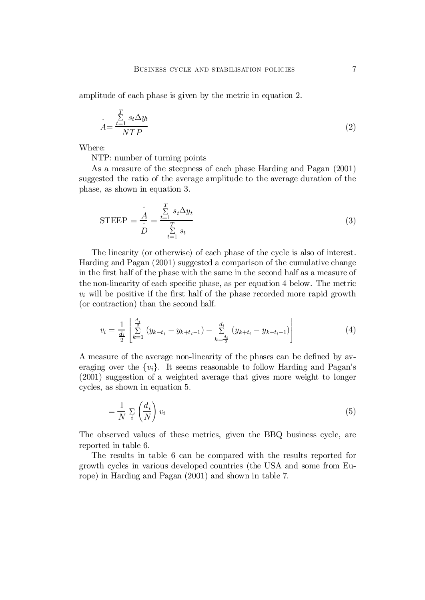amplitude of each phase is given by the metric in equation 2.

$$
\hat{A} = \frac{\sum_{t=1}^{T} s_t \Delta y_t}{NTP} \tag{2}
$$

Where:

NTP: number of turning points

As a measure of the steepness of each phase Harding and Pagan (2001) suggested the ratio of the average amplitude to the average duration of the phase, as shown in equation 3.

$$
\text{STEEP} = \frac{\hat{A}}{\hat{D}} = \frac{\sum_{t=1}^{T} s_t \Delta y_t}{\sum_{t=1}^{T} s_t} \tag{3}
$$

The linearity (or otherwise) of each phase of the cycle is also of interest. Harding and Pagan (2001) suggested a comparison of the cumulative change in the first half of the phase with the same in the second half as a measure of the non-linearity of each specific phase, as per equation 4 below. The metric  $v_i$  will be positive if the first half of the phase recorded more rapid growth (or contraction) than the second half.

$$
v_i = \frac{1}{\frac{d_i}{2}} \left[ \sum_{k=1}^{\frac{d_i}{2}} (y_{k+t_i} - y_{k+t_i-1}) - \sum_{k=\frac{d_i}{2}}^{d_i} (y_{k+t_i} - y_{k+t_i-1}) \right]
$$
(4)

A measure of the average non-linearity of the phases can be defined by averaging over the  $\{v_i\}$ . It seems reasonable to follow Harding and Pagan's (2001) suggestion of a weighted average that gives more weight to longer cycles, as shown in equation 5.

$$
=\frac{1}{N}\sum_{i}\left(\frac{d_i}{N}\right)v_i\tag{5}
$$

The observed values of these metrics, given the BBQ business cycle, are reported in table 6.

The results in table 6 can be compared with the results reported for growth cycles in various developed countries (the USA and some from Europe) in Harding and Pagan (2001) and shown in table 7.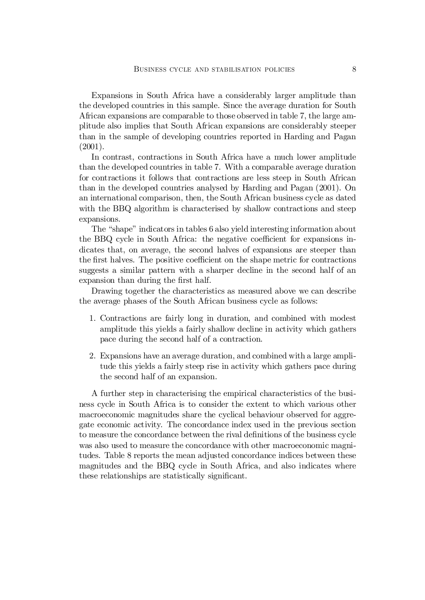Expansions in South Africa have a considerably larger amplitude than the developed countries in this sample. Since the average duration for South African expansions are comparable to those observed in table 7, the large amplitude also implies that South African expansions are considerably steeper than in the sample of developing countries reported in Harding and Pagan  $(2001).$ 

In contrast, contractions in South Africa have a much lower amplitude than the developed countries in table 7. With a comparable average duration for contractions it follows that contractions are less steep in South African than in the developed countries analysed by Harding and Pagan (2001). On an international comparison, then, the South African business cycle as dated with the BBQ algorithm is characterised by shallow contractions and steep expansions.

The "shape" indicators in tables 6 also yield interesting information about the BBQ cycle in South Africa: the negative coefficient for expansions indicates that, on average, the second halves of expansions are steeper than the first halves. The positive coefficient on the shape metric for contractions suggests a similar pattern with a sharper decline in the second half of an expansion than during the first half.

Drawing together the characteristics as measured above we can describe the average phases of the South African business cycle as follows:

- 1. Contractions are fairly long in duration, and combined with modest amplitude this yields a fairly shallow decline in activity which gathers pace during the second half of a contraction.
- 2. Expansions have an average duration, and combined with a large amplitude this yields a fairly steep rise in activity which gathers pace during the second half of an expansion.

A further step in characterising the empirical characteristics of the business cycle in South Africa is to consider the extent to which various other macroeconomic magnitudes share the cyclical behaviour observed for aggregate economic activity. The concordance index used in the previous section to measure the concordance between the rival definitions of the business cycle was also used to measure the concordance with other macroeconomic magnitudes. Table 8 reports the mean adjusted concordance indices between these magnitudes and the BBQ cycle in South Africa, and also indicates where these relationships are statistically significant.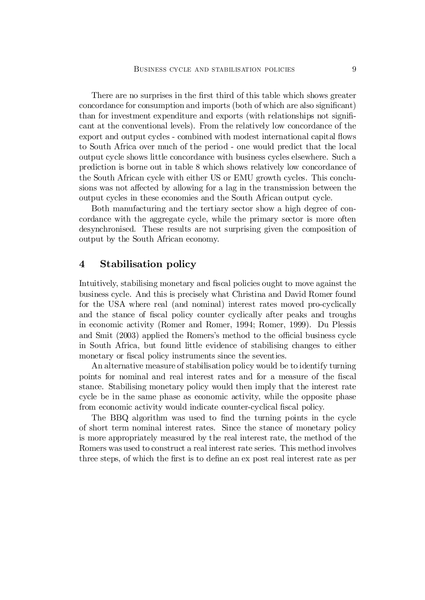There are no surprises in the first third of this table which shows greater concordance for consumption and imports (both of which are also significant) than for investment expenditure and exports (with relationships not significant at the conventional levels). From the relatively low concordance of the export and output cycles - combined with modest international capital flows to South Africa over much of the period - one would predict that the local output cycle shows little concordance with business cycles elsewhere. Such a prediction is borne out in table 8 which shows relatively low concordance of the South African cycle with either US or EMU growth cycles. This conclusions was not affected by allowing for a lag in the transmission between the output cycles in these economies and the South African output cycle.

Both manufacturing and the tertiary sector show a high degree of concordance with the aggregate cycle, while the primary sector is more often desynchronised. These results are not surprising given the composition of output by the South African economy.

#### 4 Stabilisation policy

Intuitively, stabilising monetary and fiscal policies ought to move against the business cycle. And this is precisely what Christina and David Romer found for the USA where real (and nominal) interest rates moved pro-cyclically and the stance of fiscal policy counter cyclically after peaks and troughs in economic activity (Romer and Romer, 1994; Romer, 1999). Du Plessis and Smit  $(2003)$  applied the Romers's method to the official business cycle in South Africa, but found little evidence of stabilising changes to either monetary or fiscal policy instruments since the seventies.

An alternative measure of stabilisation policy would be to identify turning points for nominal and real interest rates and for a measure of the fiscal stance. Stabilising monetary policy would then imply that the interest rate cycle be in the same phase as economic activity, while the opposite phase from economic activity would indicate counter-cyclical fiscal policy.

The BBQ algorithm was used to find the turning points in the cycle of short term nominal interest rates. Since the stance of monetary policy is more appropriately measured by the real interest rate, the method of the Romers was used to construct a real interest rate series. This method involves three steps, of which the first is to define an ex post real interest rate as per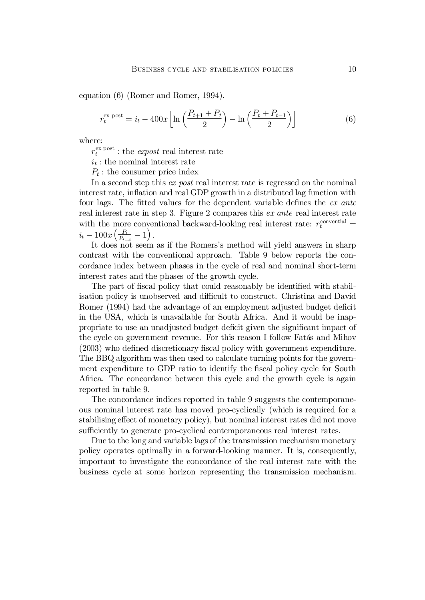equation (6) (Romer and Romer, 1994).

$$
r_t^{\text{ex post}} = i_t - 400x \left[ \ln \left( \frac{P_{t+1} + P_t}{2} \right) - \ln \left( \frac{P_t + P_{t-1}}{2} \right) \right]
$$
 (6)

where:

 $r_t^{\text{ex post}}$  $t_t^{\text{ex post}}$ : the *expost* real interest rate

 $i_t$ : the nominal interest rate

 $P_t$ : the consumer price index

In a second step this ex post real interest rate is regressed on the nominal interest rate, inflation and real GDP growth in a distributed lag function with four lags. The fitted values for the dependent variable defines the  $ex$  ante real interest rate in step 3. Figure 2 compares this ex ante real interest rate with the more conventional backward-looking real interest rate:  $r_t^{\text{conventional}} =$  $i_t - 100x \left(\frac{P_t}{P_{t-1}}\right)$  $\frac{P_t}{P_{t-4}} - 1 \Big)$ .

It does not seem as if the Romers's method will yield answers in sharp contrast with the conventional approach. Table 9 below reports the concordance index between phases in the cycle of real and nominal short-term interest rates and the phases of the growth cycle.

The part of fiscal policy that could reasonably be identified with stabilisation policy is unobserved and difficult to construct. Christina and David Romer (1994) had the advantage of an employment adjusted budget deficit in the USA, which is unavailable for South Africa. And it would be inappropriate to use an unadjusted budget deficit given the significant impact of the cycle on government revenue. For this reason I follow Fatás and Mihov  $(2003)$  who defined discretionary fiscal policy with government expenditure. The BBQ algorithm was then used to calculate turning points for the government expenditure to GDP ratio to identify the fiscal policy cycle for South Africa. The concordance between this cycle and the growth cycle is again reported in table 9.

The concordance indices reported in table 9 suggests the contemporaneous nominal interest rate has moved pro-cyclically (which is required for a stabilising effect of monetary policy), but nominal interest rates did not move sufficiently to generate pro-cyclical contemporaneous real interest rates.

Due to the long and variable lags of the transmission mechanism monetary policy operates optimally in a forward-looking manner. It is, consequently, important to investigate the concordance of the real interest rate with the business cycle at some horizon representing the transmission mechanism.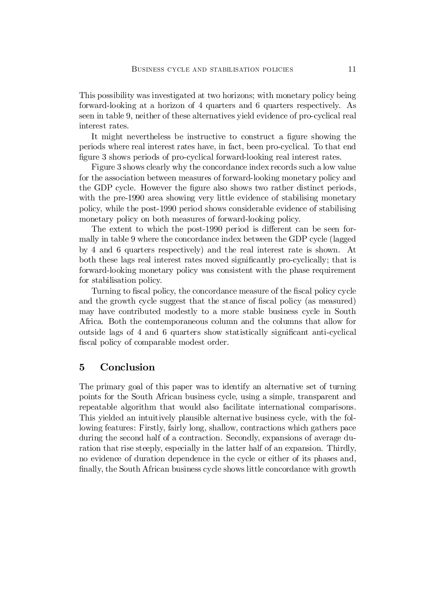This possibility was investigated at two horizons; with monetary policy being forward-looking at a horizon of 4 quarters and 6 quarters respectively. As seen in table 9, neither of these alternatives yield evidence of pro-cyclical real interest rates.

It might nevertheless be instructive to construct a figure showing the periods where real interest rates have, in fact, been pro-cyclical. To that end figure 3 shows periods of pro-cyclical forward-looking real interest rates.

Figure 3 shows clearly why the concordance index records such a low value for the association between measures of forward-looking monetary policy and the GDP cycle. However the figure also shows two rather distinct periods, with the pre-1990 area showing very little evidence of stabilising monetary policy, while the post-1990 period shows considerable evidence of stabilising monetary policy on both measures of forward-looking policy.

The extent to which the post-1990 period is different can be seen formally in table 9 where the concordance index between the GDP cycle (lagged by 4 and 6 quarters respectively) and the real interest rate is shown. At both these lags real interest rates moved significantly pro-cyclically; that is forward-looking monetary policy was consistent with the phase requirement for stabilisation policy.

Turning to fiscal policy, the concordance measure of the fiscal policy cycle and the growth cycle suggest that the stance of fiscal policy (as measured) may have contributed modestly to a more stable business cycle in South Africa. Both the contemporaneous column and the columns that allow for outside lags of 4 and 6 quarters show statistically significant anti-cyclical fiscal policy of comparable modest order.

#### 5 Conclusion

The primary goal of this paper was to identify an alternative set of turning points for the South African business cycle, using a simple, transparent and repeatable algorithm that would also facilitate international comparisons. This yielded an intuitively plausible alternative business cycle, with the following features: Firstly, fairly long, shallow, contractions which gathers pace during the second half of a contraction. Secondly, expansions of average duration that rise steeply, especially in the latter half of an expansion. Thirdly, no evidence of duration dependence in the cycle or either of its phases and, finally, the South African business cycle shows little concordance with growth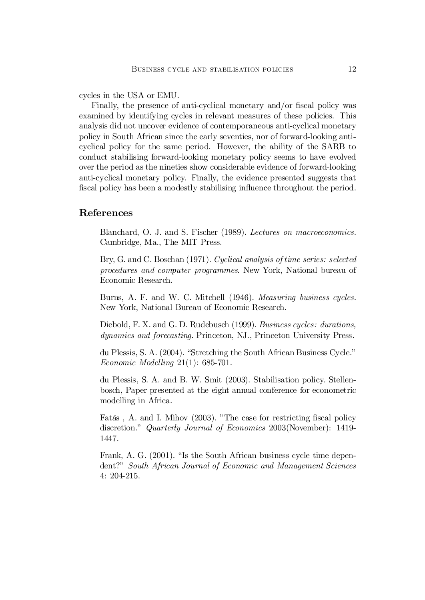cycles in the USA or EMU.

Finally, the presence of anti-cyclical monetary and/or fiscal policy was examined by identifying cycles in relevant measures of these policies. This analysis did not uncover evidence of contemporaneous anti-cyclical monetary policy in South African since the early seventies, nor of forward-looking anticyclical policy for the same period. However, the ability of the SARB to conduct stabilising forward-looking monetary policy seems to have evolved over the period as the nineties show considerable evidence of forward-looking anti-cyclical monetary policy. Finally, the evidence presented suggests that fiscal policy has been a modestly stabilising influence throughout the period.

#### References

Blanchard, O. J. and S. Fischer (1989). Lectures on macroeconomics. Cambridge, Ma., The MIT Press.

Bry, G. and C. Boschan (1971). Cyclical analysis of time series: selected procedures and computer programmes. New York, National bureau of Economic Research.

Burns, A. F. and W. C. Mitchell (1946). Measuring business cycles. New York, National Bureau of Economic Research.

Diebold, F. X. and G. D. Rudebusch (1999). Business cycles: durations, dynamics and forecasting. Princeton, NJ., Princeton University Press.

du Plessis, S. A. (2004). "Stretching the South African Business Cycle." Economic Modelling 21(1): 685-701.

du Plessis, S. A. and B. W. Smit (2003). Stabilisation policy. Stellenbosch, Paper presented at the eight annual conference for econometric modelling in Africa.

Fatás, A. and I. Mihov (2003). "The case for restricting fiscal policy discretion." Quarterly Journal of Economics 2003(November): 1419- 1447.

Frank, A. G. (2001). "Is the South African business cycle time dependent?" South African Journal of Economic and Management Sciences 4: 204-215.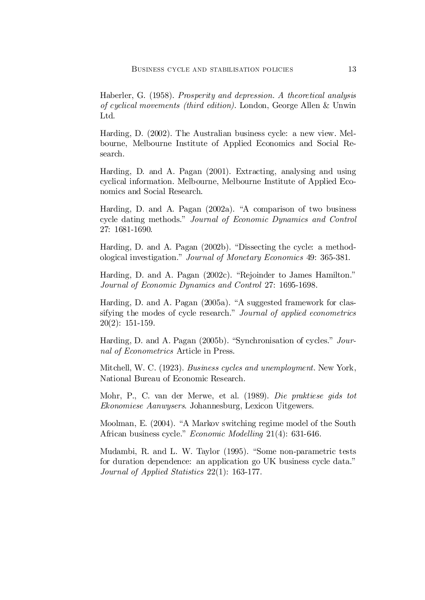Haberler, G. (1958). Prosperity and depression. A theoretical analysis of cyclical movements (third edition). London, George Allen & Unwin Ltd.

Harding, D. (2002). The Australian business cycle: a new view. Melbourne, Melbourne Institute of Applied Economics and Social Research.

Harding, D. and A. Pagan (2001). Extracting, analysing and using cyclical information. Melbourne, Melbourne Institute of Applied Economics and Social Research.

Harding, D. and A. Pagan (2002a). "A comparison of two business cycle dating methods." Journal of Economic Dynamics and Control 27: 1681-1690.

Harding, D. and A. Pagan (2002b). "Dissecting the cycle: a methodological investigation." Journal of Monetary Economics 49: 365-381.

Harding, D. and A. Pagan (2002c). "Rejoinder to James Hamilton." Journal of Economic Dynamics and Control 27: 1695-1698.

Harding, D. and A. Pagan (2005a). "A suggested framework for classifying the modes of cycle research." Journal of applied econometrics 20(2): 151-159.

Harding, D. and A. Pagan (2005b). "Synchronisation of cycles." Journal of Econometrics Article in Press.

Mitchell, W. C. (1923). Business cycles and unemployment. New York, National Bureau of Economic Research.

Mohr, P., C. van der Merwe, et al. (1989). Die praktiese gids tot Ekonomiese Aanwysers. Johannesburg, Lexicon Uitgewers.

Moolman, E. (2004). "A Markov switching regime model of the South African business cycle." Economic Modelling 21(4): 631-646.

Mudambi, R. and L. W. Taylor (1995). "Some non-parametric tests for duration dependence: an application go UK business cycle data." Journal of Applied Statistics 22(1): 163-177.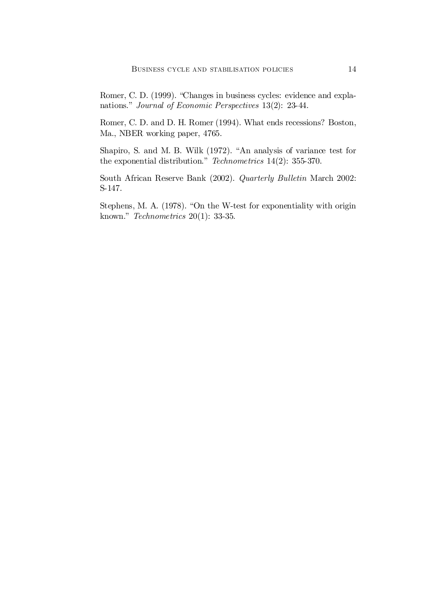Romer, C. D. (1999). "Changes in business cycles: evidence and explanations." Journal of Economic Perspectives 13(2): 23-44.

Romer, C. D. and D. H. Romer (1994). What ends recessions? Boston, Ma., NBER working paper, 4765.

Shapiro, S. and M. B. Wilk (1972). "An analysis of variance test for the exponential distribution." Technometrics 14(2): 355-370.

South African Reserve Bank (2002). Quarterly Bulletin March 2002: S-147.

Stephens, M. A. (1978). "On the W-test for exponentiality with origin known." Technometrics 20(1): 33-35.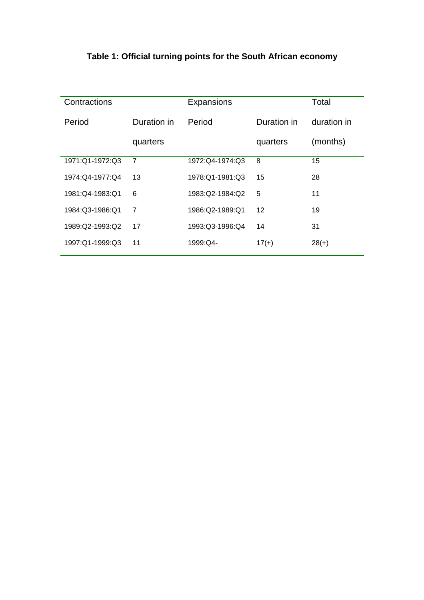| Contractions    |                | Expansions        |             | Total       |
|-----------------|----------------|-------------------|-------------|-------------|
| Period          | Duration in    | Period            | Duration in | duration in |
|                 | quarters       |                   | quarters    | (months)    |
| 1971:Q1-1972:Q3 | $\overline{7}$ | 1972:Q4-1974:Q3   | 8           | 15          |
| 1974:Q4-1977:Q4 | 13             | 1978: Q1-1981: Q3 | 15          | 28          |
| 1981:Q4-1983:Q1 | 6              | 1983:Q2-1984:Q2   | 5           | 11          |
| 1984:Q3-1986:Q1 | 7              | 1986:Q2-1989:Q1   | 12          | 19          |
| 1989:Q2-1993:Q2 | 17             | 1993:Q3-1996:Q4   | 14          | 31          |
| 1997:Q1-1999:Q3 | 11             | 1999:Q4-          | $17(+)$     | $28(+)$     |

# **Table 1: Official turning points for the South African economy**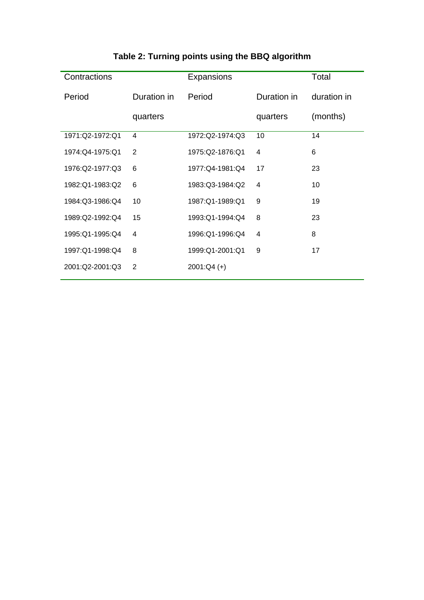| Contractions    |                | Expansions      |             | Total       |
|-----------------|----------------|-----------------|-------------|-------------|
| Period          | Duration in    | Period          | Duration in | duration in |
|                 | quarters       |                 | quarters    | (months)    |
| 1971:Q2-1972:Q1 | $\overline{4}$ | 1972:Q2-1974:Q3 | 10          | 14          |
| 1974:Q4-1975:Q1 | $\overline{2}$ | 1975:Q2-1876:Q1 | 4           | 6           |
| 1976:Q2-1977:Q3 | 6              | 1977:Q4-1981:Q4 | 17          | 23          |
| 1982:Q1-1983:Q2 | 6              | 1983:Q3-1984:Q2 | 4           | 10          |
| 1984:Q3-1986:Q4 | 10             | 1987:Q1-1989:Q1 | 9           | 19          |
| 1989:Q2-1992:Q4 | 15             | 1993:Q1-1994:Q4 | 8           | 23          |
| 1995:Q1-1995:Q4 | 4              | 1996:Q1-1996:Q4 | 4           | 8           |
| 1997:Q1-1998:Q4 | 8              | 1999:Q1-2001:Q1 | 9           | 17          |
| 2001:Q2-2001:Q3 | 2              | $2001:Q4 (+)$   |             |             |

# **Table 2: Turning points using the BBQ algorithm**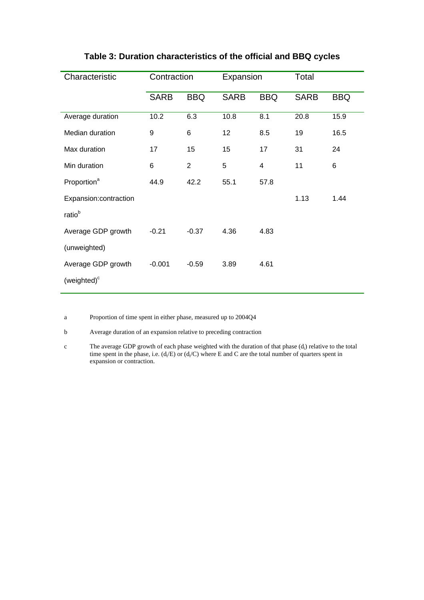| Characteristic          | Contraction |                | Expansion       |            | Total       |            |
|-------------------------|-------------|----------------|-----------------|------------|-------------|------------|
|                         | <b>SARB</b> | <b>BBQ</b>     | <b>SARB</b>     | <b>BBQ</b> | <b>SARB</b> | <b>BBQ</b> |
| Average duration        | 10.2        | 6.3            | 10.8            | 8.1        | 20.8        | 15.9       |
| Median duration         | 9           | 6              | 12 <sub>2</sub> | 8.5        | 19          | 16.5       |
| Max duration            | 17          | 15             | 15              | 17         | 31          | 24         |
| Min duration            | 6           | $\overline{2}$ | 5               | 4          | 11          | 6          |
| Proportion <sup>a</sup> | 44.9        | 42.2           | 55.1            | 57.8       |             |            |
| Expansion:contraction   |             |                |                 |            | 1.13        | 1.44       |
| ratio <sup>b</sup>      |             |                |                 |            |             |            |
| Average GDP growth      | $-0.21$     | $-0.37$        | 4.36            | 4.83       |             |            |
| (unweighted)            |             |                |                 |            |             |            |
| Average GDP growth      | $-0.001$    | $-0.59$        | 3.89            | 4.61       |             |            |
| (weighted) <sup>c</sup> |             |                |                 |            |             |            |

## **Table 3: Duration characteristics of the official and BBQ cycles**

a Proportion of time spent in either phase, measured up to 2004Q4

b Average duration of an expansion relative to preceding contraction

c The average GDP growth of each phase weighted with the duration of that phase (d<sub>i</sub>) relative to the total time spent in the phase, i.e.  $(d_i/E)$  or  $(d_i/C)$  where E and C are the total number of quarters spent in expansion or contraction.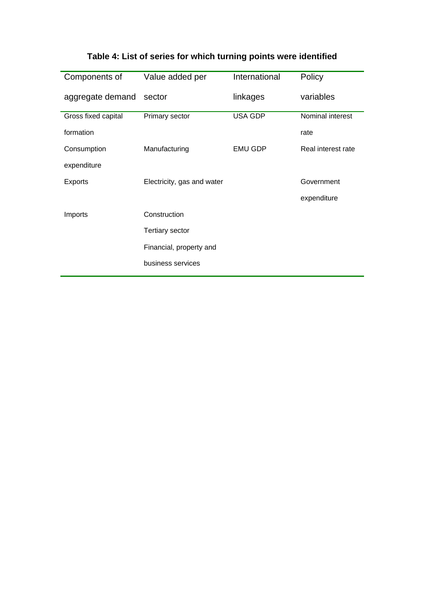|  |  | Table 4: List of series for which turning points were identified |
|--|--|------------------------------------------------------------------|
|--|--|------------------------------------------------------------------|

| Components of       | Value added per            | International  | Policy             |
|---------------------|----------------------------|----------------|--------------------|
| aggregate demand    | sector                     | linkages       | variables          |
| Gross fixed capital | Primary sector             | <b>USA GDP</b> | Nominal interest   |
| formation           |                            |                | rate               |
| Consumption         | Manufacturing              | <b>EMU GDP</b> | Real interest rate |
| expenditure         |                            |                |                    |
| <b>Exports</b>      | Electricity, gas and water |                | Government         |
|                     |                            |                | expenditure        |
| Imports             | Construction               |                |                    |
|                     | <b>Tertiary sector</b>     |                |                    |
|                     | Financial, property and    |                |                    |
|                     | business services          |                |                    |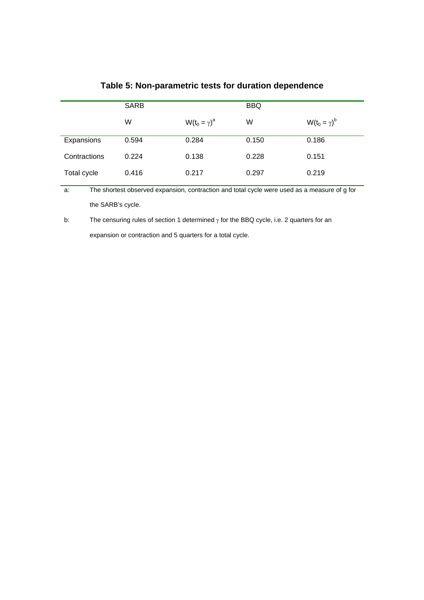|              | <b>SARB</b> |                     | <b>BBQ</b> |                     |
|--------------|-------------|---------------------|------------|---------------------|
|              | W           | $W(t_0 = \gamma)^a$ | W          | $W(t_0 = \gamma)^b$ |
| Expansions   | 0.594       | 0.284               | 0.150      | 0.186               |
| Contractions | 0.224       | 0.138               | 0.228      | 0.151               |
| Total cycle  | 0.416       | 0.217               | 0.297      | 0.219               |

## **Table 5: Non-parametric tests for duration dependence**

a: The shortest observed expansion, contraction and total cycle were used as a measure of g for the SARB's cycle.

b: The censuring rules of section 1 determined  $\gamma$  for the BBQ cycle, i.e. 2 quarters for an expansion or contraction and 5 quarters for a total cycle.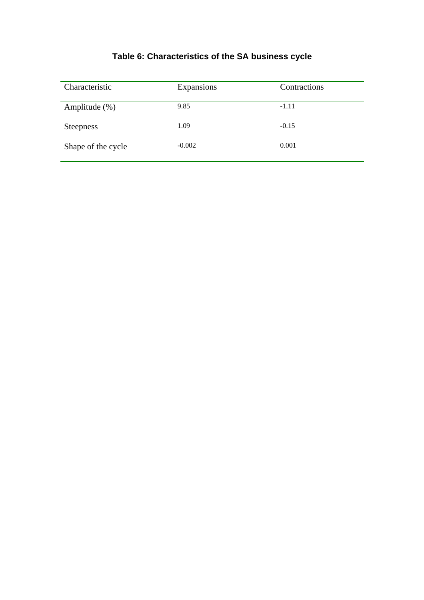# **Table 6: Characteristics of the SA business cycle**

| Characteristic     | Expansions | Contractions |
|--------------------|------------|--------------|
| Amplitude $(\%)$   | 9.85       | $-1.11$      |
| <b>Steepness</b>   | 1.09       | $-0.15$      |
| Shape of the cycle | $-0.002$   | 0.001        |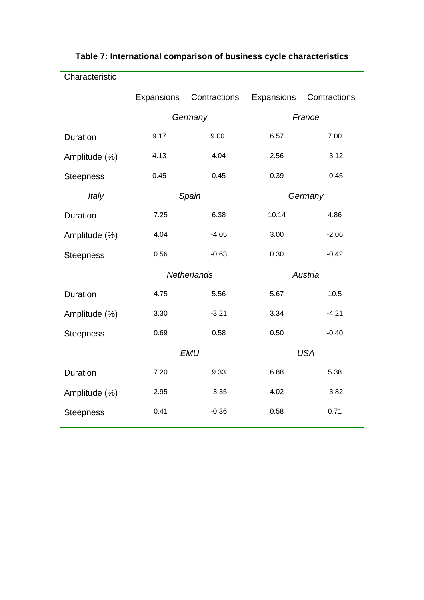| Characteristic   |            |                    |            |              |  |
|------------------|------------|--------------------|------------|--------------|--|
|                  | Expansions | Contractions       | Expansions | Contractions |  |
|                  | Germany    |                    | France     |              |  |
| Duration         | 9.17       | 9.00               | 6.57       | 7.00         |  |
| Amplitude (%)    | 4.13       | $-4.04$            | 2.56       | $-3.12$      |  |
| <b>Steepness</b> | 0.45       | $-0.45$            | 0.39       | $-0.45$      |  |
| Italy            |            | Spain              | Germany    |              |  |
| Duration         | 7.25       | 6.38               | 10.14      | 4.86         |  |
| Amplitude (%)    | 4.04       | $-4.05$            | 3.00       | $-2.06$      |  |
| <b>Steepness</b> | 0.56       | $-0.63$            | 0.30       | $-0.42$      |  |
|                  |            | <b>Netherlands</b> |            | Austria      |  |
| Duration         | 4.75       | 5.56               | 5.67       | 10.5         |  |
| Amplitude (%)    | 3.30       | $-3.21$            | 3.34       | $-4.21$      |  |
| <b>Steepness</b> | 0.69       | 0.58               | 0.50       | $-0.40$      |  |
|                  | <b>EMU</b> |                    |            | <b>USA</b>   |  |
| Duration         | 7.20       | 9.33               | 6.88       | 5.38         |  |
| Amplitude (%)    | 2.95       | $-3.35$            | 4.02       | $-3.82$      |  |
| <b>Steepness</b> | 0.41       | $-0.36$            | 0.58       | 0.71         |  |
|                  |            |                    |            |              |  |

## **Table 7: International comparison of business cycle characteristics**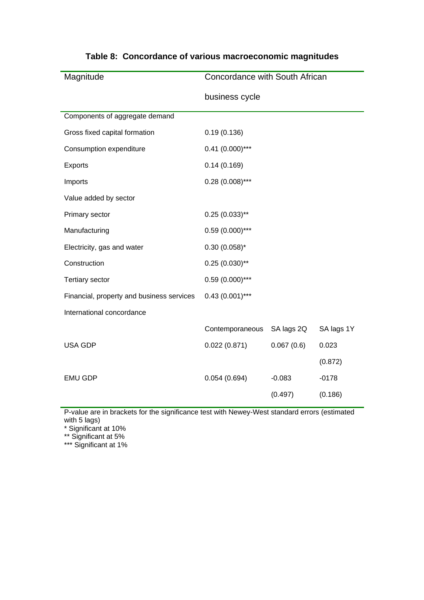| Concordance with South African |            |            |
|--------------------------------|------------|------------|
| business cycle                 |            |            |
|                                |            |            |
| 0.19(0.136)                    |            |            |
| $0.41$ (0.000)***              |            |            |
| 0.14(0.169)                    |            |            |
| $0.28(0.008)$ ***              |            |            |
|                                |            |            |
| $0.25(0.033)$ **               |            |            |
| $0.59(0.000)$ ***              |            |            |
| $0.30(0.058)$ *                |            |            |
| $0.25(0.030)$ **               |            |            |
| $0.59(0.000)$ ***              |            |            |
| $0.43(0.001)$ ***              |            |            |
|                                |            |            |
| Contemporaneous                | SA lags 2Q | SA lags 1Y |
| 0.022(0.871)                   | 0.067(0.6) | 0.023      |
|                                |            | (0.872)    |
| 0.054(0.694)                   | $-0.083$   | $-0178$    |
|                                | (0.497)    | (0.186)    |
|                                |            |            |

## **Table 8: Concordance of various macroeconomic magnitudes**

P-value are in brackets for the significance test with Newey-West standard errors (estimated with 5 lags)

\* Significant at 10%

\*\* Significant at 5%

\*\*\* Significant at 1%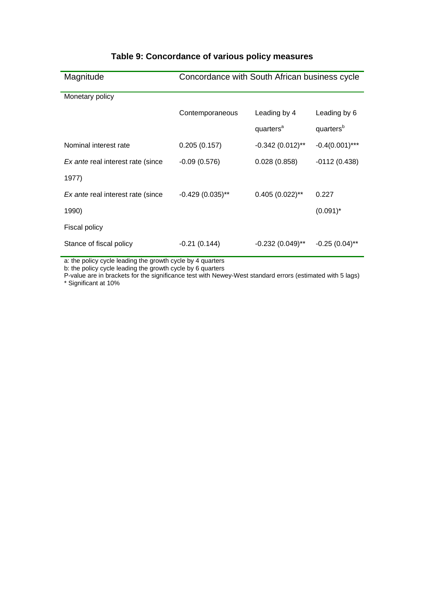| Magnitude                                | Concordance with South African business cycle |                       |                       |  |
|------------------------------------------|-----------------------------------------------|-----------------------|-----------------------|--|
| Monetary policy                          |                                               |                       |                       |  |
|                                          | Contemporaneous                               | Leading by 4          | Leading by 6          |  |
|                                          |                                               | quarters <sup>a</sup> | quarters <sup>b</sup> |  |
| Nominal interest rate                    | 0.205(0.157)                                  | $-0.342(0.012)$ **    | $-0.4(0.001)$ ***     |  |
| <i>Ex ante</i> real interest rate (since | $-0.09(0.576)$                                | 0.028(0.858)          | $-0112(0.438)$        |  |
| 1977)                                    |                                               |                       |                       |  |
| Ex ante real interest rate (since        | $-0.429(0.035)$ **                            | $0.405(0.022)$ **     | 0.227                 |  |
| 1990)                                    |                                               |                       | $(0.091)^*$           |  |
| <b>Fiscal policy</b>                     |                                               |                       |                       |  |
| Stance of fiscal policy                  | $-0.21(0.144)$                                | $-0.232(0.049)$ **    | $-0.25(0.04)$ **      |  |

## **Table 9: Concordance of various policy measures**

a: the policy cycle leading the growth cycle by 4 quarters

b: the policy cycle leading the growth cycle by 6 quarters

P-value are in brackets for the significance test with Newey-West standard errors (estimated with 5 lags) \* Significant at 10%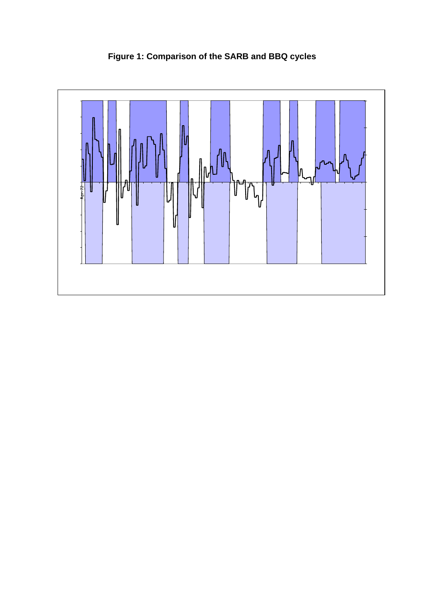

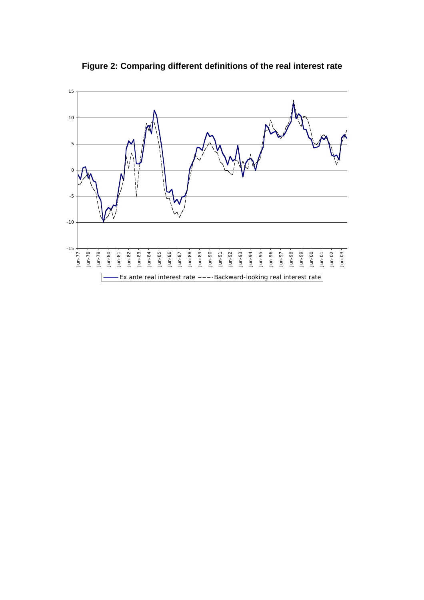

**Figure 2: Comparing different definitions of the real interest rate**